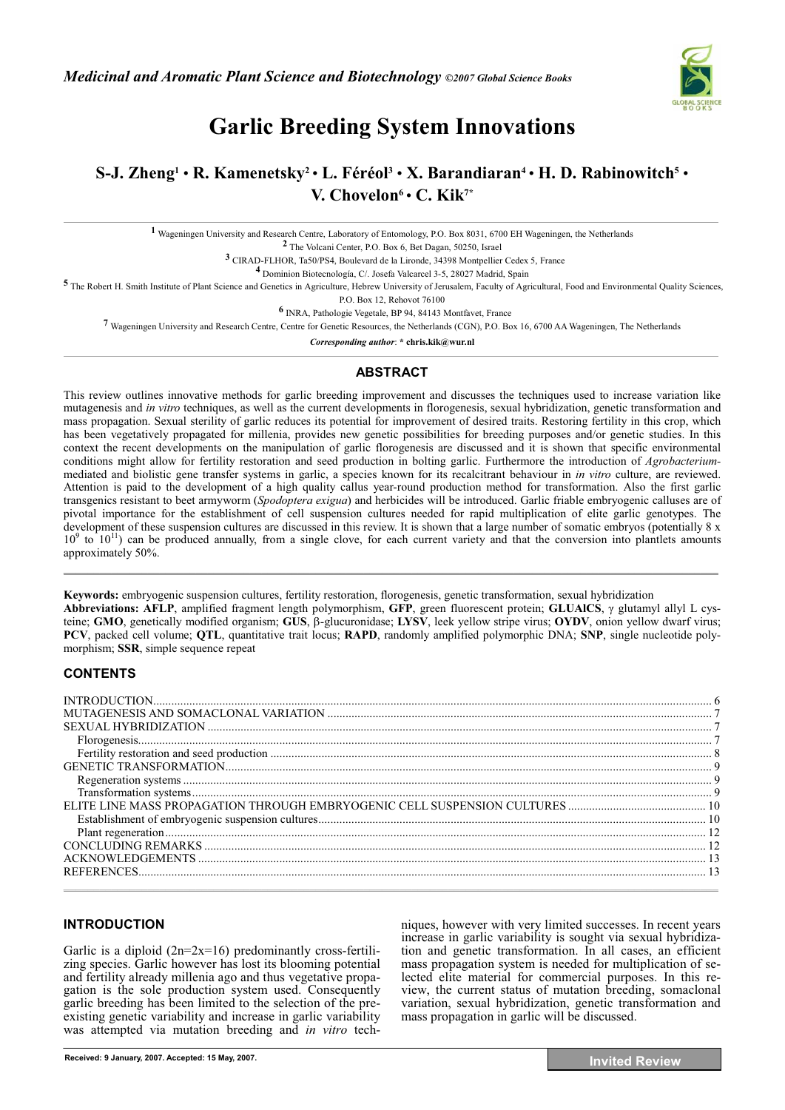

# **Garlic Breeding System Innovations**

# **S-J. Zheng1** • **R. Kamenetsky2** • **L. Féréol3** • **X. Barandiaran4** • **H. D. Rabinowitch5** • **V. Chovelon6** • **C. Kik7\***

**1** Wageningen University and Research Centre, Laboratory of Entomology, P.O. Box 8031, 6700 EH Wageningen, the Netherlands

**2** The Volcani Center, P.O. Box 6, Bet Dagan, 50250, Israel

**3** CIRAD-FLHOR, Ta50/PS4, Boulevard de la Lironde, 34398 Montpellier Cedex 5, France

**4** Dominion Biotecnología, C/. Josefa Valcarcel 3-5, 28027 Madrid, Spain

<sup>5</sup> The Robert H. Smith Institute of Plant Science and Genetics in Agriculture, Hebrew University of Jerusalem, Faculty of Agricultural, Food and Environmental Quality Sciences,

P.O. Box 12, Rehovot 76100

**6** INRA, Pathologie Vegetale, BP 94, 84143 Montfavet, France

**7** Wageningen University and Research Centre, Centre for Genetic Resources, the Netherlands (CGN), P.O. Box 16, 6700 AA Wageningen, The Netherlands

*Corresponding author*: **\* chris.kik@wur.nl** 

## **ABSTRACT**

This review outlines innovative methods for garlic breeding improvement and discusses the techniques used to increase variation like mutagenesis and *in vitro* techniques, as well as the current developments in florogenesis, sexual hybridization, genetic transformation and mass propagation. Sexual sterility of garlic reduces its potential for improvement of desired traits. Restoring fertility in this crop, which has been vegetatively propagated for millenia, provides new genetic possibilities for breeding purposes and/or genetic studies. In this context the recent developments on the manipulation of garlic florogenesis are discussed and it is shown that specific environmental conditions might allow for fertility restoration and seed production in bolting garlic. Furthermore the introduction of *Agrobacterium*mediated and biolistic gene transfer systems in garlic, a species known for its recalcitrant behaviour in *in vitro* culture, are reviewed. Attention is paid to the development of a high quality callus year-round production method for transformation. Also the first garlic transgenics resistant to beet armyworm (*Spodoptera exigua*) and herbicides will be introduced. Garlic friable embryogenic calluses are of pivotal importance for the establishment of cell suspension cultures needed for rapid multiplication of elite garlic genotypes. The development of these suspension cultures are discussed in this review. It is shown that a large number of somatic embryos (potentially 8 x  $10<sup>9</sup>$  to  $10<sup>11</sup>$ ) can be produced annually, from a single clove, for each current variety and that the conversion into plantlets amounts approximately 50%.  $\mathcal{L}_\mathcal{L}$  , the state of the state of the state of the state of the state of the state of the state of the state of the state of the state of the state of the state of the state of the state of the state of the state

**Keywords:** embryogenic suspension cultures, fertility restoration, florogenesis, genetic transformation, sexual hybridization Abbreviations: AFLP, amplified fragment length polymorphism, GFP, green fluorescent protein; GLUAICS,  $\gamma$  glutamyl allyl L cysteine; GMO, genetically modified organism; GUS, β-glucuronidase; LYSV, leek yellow stripe virus; OYDV, onion yellow dwarf virus; **PCV**, packed cell volume; **QTL**, quantitative trait locus; **RAPD**, randomly amplified polymorphic DNA; **SNP**, single nucleotide polymorphism; **SSR**, simple sequence repeat

# **CONTENTS**

| $Florogenesis17$ |  |
|------------------|--|
|                  |  |
|                  |  |
|                  |  |
|                  |  |
|                  |  |
|                  |  |
|                  |  |
|                  |  |
|                  |  |
|                  |  |
|                  |  |

## **INTRODUCTION**

Garlic is a diploid  $(2n=2x=16)$  predominantly cross-fertilizing species. Garlic however has lost its blooming potential and fertility already millenia ago and thus vegetative propagation is the sole production system used. Consequently garlic breeding has been limited to the selection of the preexisting genetic variability and increase in garlic variability was attempted via mutation breeding and *in vitro* techniques, however with very limited successes. In recent years increase in garlic variability is sought via sexual hybridization and genetic transformation. In all cases, an efficient mass propagation system is needed for multiplication of selected elite material for commercial purposes. In this review, the current status of mutation breeding, somaclonal variation, sexual hybridization, genetic transformation and mass propagation in garlic will be discussed.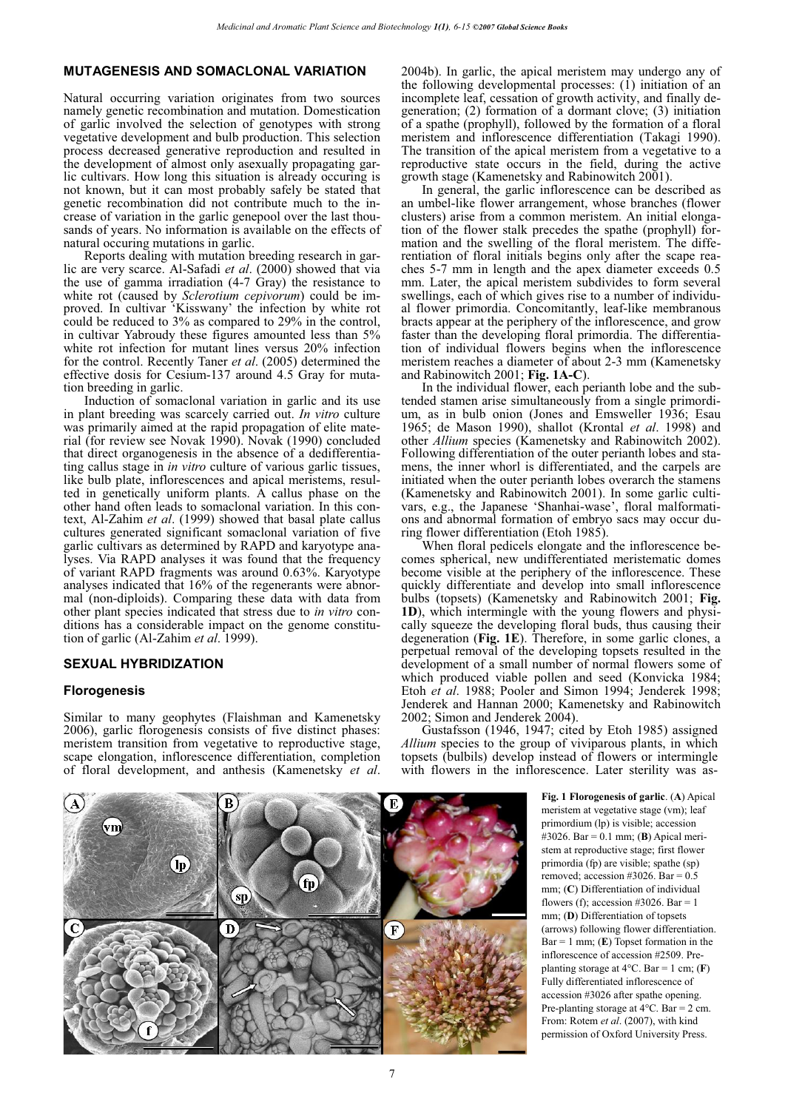# **MUTAGENESIS AND SOMACLONAL VARIATION**

Natural occurring variation originates from two sources namely genetic recombination and mutation. Domestication of garlic involved the selection of genotypes with strong vegetative development and bulb production. This selection process decreased generative reproduction and resulted in the development of almost only asexually propagating garlic cultivars. How long this situation is already occuring is not known, but it can most probably safely be stated that genetic recombination did not contribute much to the increase of variation in the garlic genepool over the last thousands of years. No information is available on the effects of natural occuring mutations in garlic.

Reports dealing with mutation breeding research in garlic are very scarce. Al-Safadi *et al*. (2000) showed that via the use of gamma irradiation  $(4-7 \text{ Gray})$  the resistance to white rot (caused by *Sclerotium cepivorum*) could be improved. In cultivar 'Kisswany' the infection by white rot could be reduced to 3% as compared to 29% in the control, in cultivar Yabroudy these figures amounted less than 5% white rot infection for mutant lines versus 20% infection for the control. Recently Taner *et al*. (2005) determined the effective dosis for Cesium-137 around 4.5 Gray for mutation breeding in garlic.

Induction of somaclonal variation in garlic and its use in plant breeding was scarcely carried out. *In vitro* culture was primarily aimed at the rapid propagation of elite material (for review see Novak 1990). Novak (1990) concluded that direct organogenesis in the absence of a dedifferentiating callus stage in *in vitro* culture of various garlic tissues, like bulb plate, inflorescences and apical meristems, resulted in genetically uniform plants. A callus phase on the other hand often leads to somaclonal variation. In this context, Al-Zahim *et al*. (1999) showed that basal plate callus cultures generated significant somaclonal variation of five garlic cultivars as determined by RAPD and karyotype analyses. Via RAPD analyses it was found that the frequency of variant RAPD fragments was around 0.63%. Karyotype analyses indicated that 16% of the regenerants were abnormal (non-diploids). Comparing these data with data from other plant species indicated that stress due to *in vitro* conditions has a considerable impact on the genome constitution of garlic (Al-Zahim *et al*. 1999).

#### **SEXUAL HYBRIDIZATION**

#### **Florogenesis**

Similar to many geophytes (Flaishman and Kamenetsky 2006), garlic florogenesis consists of five distinct phases: meristem transition from vegetative to reproductive stage, scape elongation, inflorescence differentiation, completion of floral development, and anthesis (Kamenetsky *et al*. 2004b). In garlic, the apical meristem may undergo any of the following developmental processes: (1) initiation of an incomplete leaf, cessation of growth activity, and finally degeneration; (2) formation of a dormant clove; (3) initiation of a spathe (prophyll), followed by the formation of a floral meristem and inflorescence differentiation (Takagi 1990). The transition of the apical meristem from a vegetative to a reproductive state occurs in the field, during the active growth stage (Kamenetsky and Rabinowitch 2001).

In general, the garlic inflorescence can be described as an umbel-like flower arrangement, whose branches (flower clusters) arise from a common meristem. An initial elongation of the flower stalk precedes the spathe (prophyll) formation and the swelling of the floral meristem. The differentiation of floral initials begins only after the scape reaches 5-7 mm in length and the apex diameter exceeds 0.5 mm. Later, the apical meristem subdivides to form several swellings, each of which gives rise to a number of individual flower primordia. Concomitantly, leaf-like membranous bracts appear at the periphery of the inflorescence, and grow faster than the developing floral primordia. The differentiation of individual flowers begins when the inflorescence meristem reaches a diameter of about 2-3 mm (Kamenetsky and Rabinowitch 2001; **Fig. 1A-C**).

In the individual flower, each perianth lobe and the subtended stamen arise simultaneously from a single primordium, as in bulb onion (Jones and Emsweller 1936; Esau 1965; de Mason 1990), shallot (Krontal *et al*. 1998) and other *Allium* species (Kamenetsky and Rabinowitch 2002). Following differentiation of the outer perianth lobes and stamens, the inner whorl is differentiated, and the carpels are initiated when the outer perianth lobes overarch the stamens (Kamenetsky and Rabinowitch 2001). In some garlic cultivars, e.g., the Japanese 'Shanhai-wase', floral malformations and abnormal formation of embryo sacs may occur during flower differentiation (Etoh 1985).

When floral pedicels elongate and the inflorescence becomes spherical, new undifferentiated meristematic domes become visible at the periphery of the inflorescence. These quickly differentiate and develop into small inflorescence bulbs (topsets) (Kamenetsky and Rabinowitch 2001; **Fig. 1D**), which intermingle with the young flowers and physically squeeze the developing floral buds, thus causing their degeneration (**Fig. 1E**). Therefore, in some garlic clones, a perpetual removal of the developing topsets resulted in the development of a small number of normal flowers some of which produced viable pollen and seed (Konvicka 1984; Etoh *et al*. 1988; Pooler and Simon 1994; Jenderek 1998; Jenderek and Hannan 2000; Kamenetsky and Rabinowitch 2002; Simon and Jenderek 2004).

Gustafsson (1946, 1947; cited by Etoh 1985) assigned *Allium* species to the group of viviparous plants, in which topsets (bulbils) develop instead of flowers or intermingle with flowers in the inflorescence. Later sterility was as-

(vm) (Ip  $\mathbf{f}$  $_{sp}$ D  $\mathbf{F}$ 

**Fig. 1 Florogenesis of garlic**. (**A**) Apical meristem at vegetative stage (vm); leaf primordium (lp) is visible; accession #3026. Bar = 0.1 mm; (**B**) Apical meristem at reproductive stage; first flower primordia (fp) are visible; spathe (sp) removed; accession #3026. Bar =  $0.5$ mm; (**C**) Differentiation of individual flowers (f); accession #3026. Bar = 1 mm; (**D**) Differentiation of topsets (arrows) following flower differentiation. Bar = 1 mm; (**E**) Topset formation in the inflorescence of accession #2509. Preplanting storage at  $4^{\circ}$ C. Bar = 1 cm; (**F**) Fully differentiated inflorescence of accession #3026 after spathe opening. Pre-planting storage at 4°C. Bar = 2 cm. From: Rotem *et al*. (2007), with kind permission of Oxford University Press.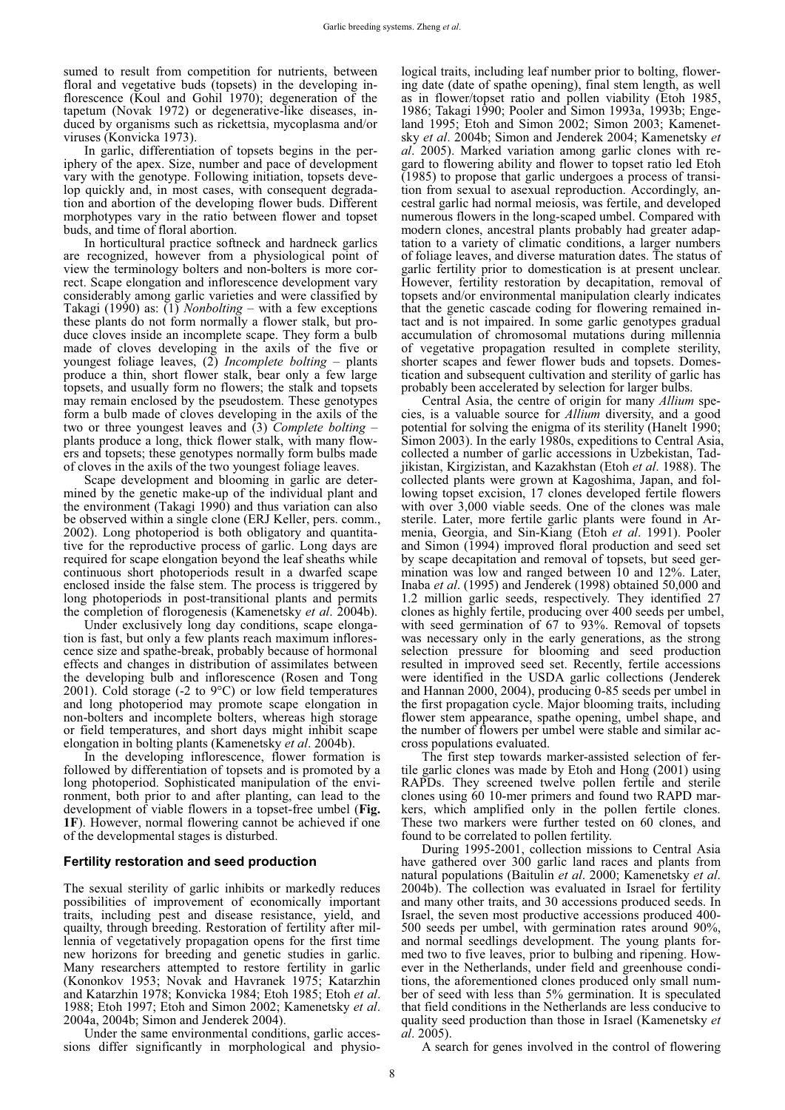sumed to result from competition for nutrients, between floral and vegetative buds (topsets) in the developing inflorescence (Koul and Gohil 1970); degeneration of the tapetum (Novak 1972) or degenerative-like diseases, induced by organisms such as rickettsia, mycoplasma and/or viruses (Konvicka 1973).

In garlic, differentiation of topsets begins in the periphery of the apex. Size, number and pace of development vary with the genotype. Following initiation, topsets develop quickly and, in most cases, with consequent degradation and abortion of the developing flower buds. Different morphotypes vary in the ratio between flower and topset buds, and time of floral abortion.

In horticultural practice softneck and hardneck garlics are recognized, however from a physiological point of view the terminology bolters and non-bolters is more correct. Scape elongation and inflorescence development vary considerably among garlic varieties and were classified by Takagi (1990) as: (1) *Nonbolting –* with a few exceptions these plants do not form normally a flower stalk, but produce cloves inside an incomplete scape. They form a bulb made of cloves developing in the axils of the five or youngest foliage leaves, (2) *Incomplete bolting* – plants produce a thin, short flower stalk, bear only a few large topsets, and usually form no flowers; the stalk and topsets may remain enclosed by the pseudostem. These genotypes form a bulb made of cloves developing in the axils of the two or three youngest leaves and (3) *Complete bolting* – plants produce a long, thick flower stalk, with many flowers and topsets; these genotypes normally form bulbs made of cloves in the axils of the two youngest foliage leaves.

Scape development and blooming in garlic are determined by the genetic make-up of the individual plant and the environment (Takagi 1990) and thus variation can also be observed within a single clone (ERJ Keller, pers. comm., 2002). Long photoperiod is both obligatory and quantitative for the reproductive process of garlic. Long days are required for scape elongation beyond the leaf sheaths while continuous short photoperiods result in a dwarfed scape enclosed inside the false stem. The process is triggered by long photoperiods in post-transitional plants and permits the completion of florogenesis (Kamenetsky *et al*. 2004b).

Under exclusively long day conditions, scape elongation is fast, but only a few plants reach maximum inflorescence size and spathe-break, probably because of hormonal effects and changes in distribution of assimilates between the developing bulb and inflorescence (Rosen and Tong 2001). Cold storage  $(-2 \text{ to } 9^{\circ}\text{C})$  or low field temperatures and long photoperiod may promote scape elongation in non-bolters and incomplete bolters, whereas high storage or field temperatures, and short days might inhibit scape elongation in bolting plants (Kamenetsky *et al*. 2004b).

In the developing inflorescence, flower formation is followed by differentiation of topsets and is promoted by a long photoperiod. Sophisticated manipulation of the environment, both prior to and after planting, can lead to the development of viable flowers in a topset-free umbel (**Fig. 1F**). However, normal flowering cannot be achieved if one of the developmental stages is disturbed.

#### **Fertility restoration and seed production**

The sexual sterility of garlic inhibits or markedly reduces possibilities of improvement of economically important traits, including pest and disease resistance, yield, and quailty, through breeding. Restoration of fertility after millennia of vegetatively propagation opens for the first time new horizons for breeding and genetic studies in garlic. Many researchers attempted to restore fertility in garlic (Kononkov 1953; Novak and Havranek 1975; Katarzhin and Katarzhin 1978; Konvicka 1984; Etoh 1985; Etoh *et al*. 1988; Etoh 1997; Etoh and Simon 2002; Kamenetsky *et al*. 2004a, 2004b; Simon and Jenderek 2004).

Under the same environmental conditions, garlic accessions differ significantly in morphological and physiological traits, including leaf number prior to bolting, flowering date (date of spathe opening), final stem length, as well as in flower/topset ratio and pollen viability (Etoh 1985, 1986; Takagi 1990; Pooler and Simon 1993a, 1993b; Engeland 1995; Etoh and Simon 2002; Simon 2003; Kamenetsky *et al*. 2004b; Simon and Jenderek 2004; Kamenetsky *et al*. 2005). Marked variation among garlic clones with regard to flowering ability and flower to topset ratio led Etoh (1985) to propose that garlic undergoes a process of transition from sexual to asexual reproduction. Accordingly, ancestral garlic had normal meiosis, was fertile, and developed numerous flowers in the long-scaped umbel. Compared with modern clones, ancestral plants probably had greater adaptation to a variety of climatic conditions, a larger numbers of foliage leaves, and diverse maturation dates. The status of garlic fertility prior to domestication is at present unclear. However, fertility restoration by decapitation, removal of topsets and/or environmental manipulation clearly indicates that the genetic cascade coding for flowering remained intact and is not impaired. In some garlic genotypes gradual accumulation of chromosomal mutations during millennia of vegetative propagation resulted in complete sterility, shorter scapes and fewer flower buds and topsets. Domestication and subsequent cultivation and sterility of garlic has probably been accelerated by selection for larger bulbs.

Central Asia, the centre of origin for many *Allium* species, is a valuable source for *Allium* diversity, and a good potential for solving the enigma of its sterility (Hanelt 1990; Simon 2003). In the early 1980s, expeditions to Central Asia, collected a number of garlic accessions in Uzbekistan, Tadjikistan, Kirgizistan, and Kazakhstan (Etoh *et al*. 1988). The collected plants were grown at Kagoshima, Japan, and following topset excision, 17 clones developed fertile flowers with over 3,000 viable seeds. One of the clones was male sterile. Later, more fertile garlic plants were found in Armenia, Georgia, and Sin-Kiang (Etoh *et al*. 1991). Pooler and Simon (1994) improved floral production and seed set by scape decapitation and removal of topsets, but seed germination was low and ranged between 10 and 12%. Later, Inaba *et al*. (1995) and Jenderek (1998) obtained 50,000 and 1.2 million garlic seeds, respectively. They identified 27 clones as highly fertile, producing over 400 seeds per umbel, with seed germination of 67 to 93%. Removal of topsets was necessary only in the early generations, as the strong selection pressure for blooming and seed production resulted in improved seed set. Recently, fertile accessions were identified in the USDA garlic collections (Jenderek and Hannan 2000, 2004), producing 0-85 seeds per umbel in the first propagation cycle. Major blooming traits, including flower stem appearance, spathe opening, umbel shape, and the number of flowers per umbel were stable and similar accross populations evaluated.

The first step towards marker-assisted selection of fertile garlic clones was made by Etoh and Hong (2001) using RAPDs. They screened twelve pollen fertile and sterile clones using 60 10-mer primers and found two RAPD markers, which amplified only in the pollen fertile clones. These two markers were further tested on 60 clones, and found to be correlated to pollen fertility.

During 1995-2001, collection missions to Central Asia have gathered over 300 garlic land races and plants from natural populations (Baitulin *et al*. 2000; Kamenetsky *et al*. 2004b). The collection was evaluated in Israel for fertility and many other traits, and 30 accessions produced seeds. In Israel, the seven most productive accessions produced 400- 500 seeds per umbel, with germination rates around 90%, and normal seedlings development. The young plants formed two to five leaves, prior to bulbing and ripening. However in the Netherlands, under field and greenhouse conditions, the aforementioned clones produced only small number of seed with less than 5% germination. It is speculated that field conditions in the Netherlands are less conducive to quality seed production than those in Israel (Kamenetsky *et al*. 2005).

A search for genes involved in the control of flowering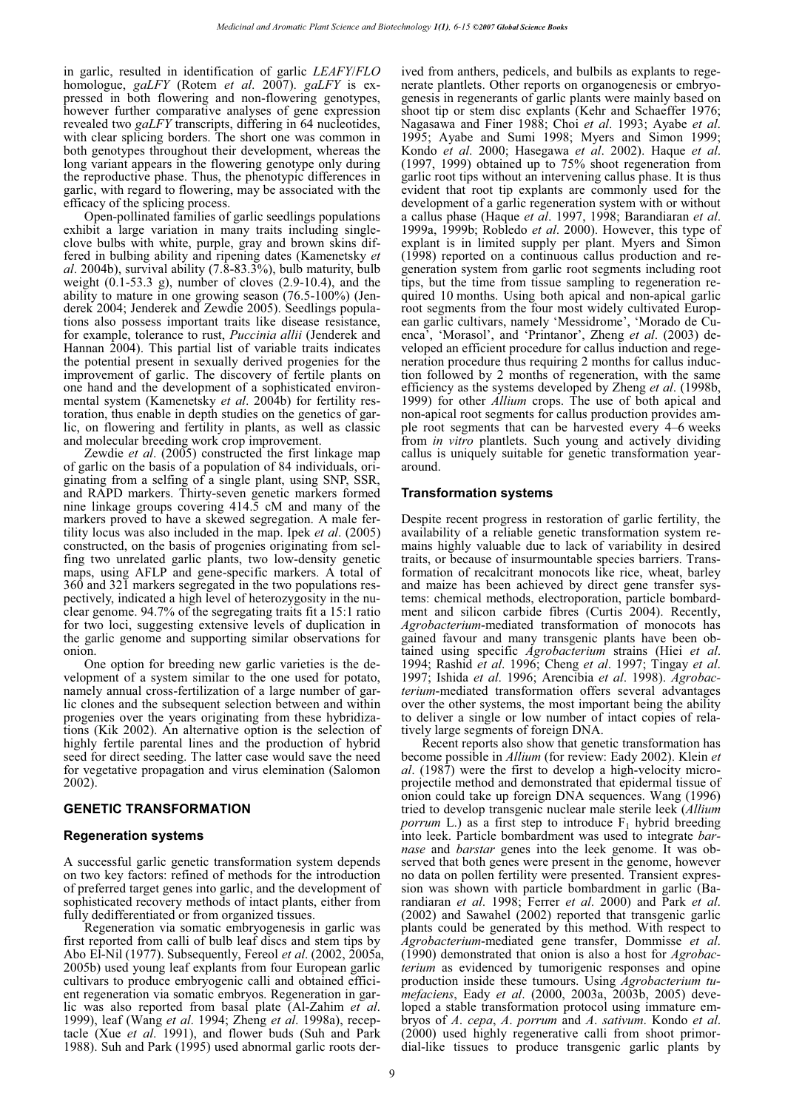in garlic, resulted in identification of garlic *LEAFY*/*FLO* homologue, *gaLFY* (Rotem *et al*. 2007). *gaLFY* is expressed in both flowering and non-flowering genotypes, however further comparative analyses of gene expression revealed two *gaLFY* transcripts, differing in 64 nucleotides, with clear splicing borders. The short one was common in both genotypes throughout their development, whereas the long variant appears in the flowering genotype only during the reproductive phase. Thus, the phenotypic differences in garlic, with regard to flowering, may be associated with the efficacy of the splicing process.

Open-pollinated families of garlic seedlings populations exhibit a large variation in many traits including singleclove bulbs with white, purple, gray and brown skins differed in bulbing ability and ripening dates (Kamenetsky *et al*. 2004b), survival ability (7.8-83.3%), bulb maturity, bulb weight  $(0.1-53.3)$  g), number of cloves  $(2.9-10.4)$ , and the ability to mature in one growing season (76.5-100%) (Jenderek 2004; Jenderek and Zewdie 2005). Seedlings populations also possess important traits like disease resistance, for example, tolerance to rust, *Puccinia allii* (Jenderek and Hannan 2004). This partial list of variable traits indicates the potential present in sexually derived progenies for the improvement of garlic. The discovery of fertile plants on one hand and the development of a sophisticated environmental system (Kamenetsky *et al*. 2004b) for fertility restoration, thus enable in depth studies on the genetics of garlic, on flowering and fertility in plants, as well as classic and molecular breeding work crop improvement.

Zewdie *et al*. (2005) constructed the first linkage map of garlic on the basis of a population of 84 individuals, originating from a selfing of a single plant, using SNP, SSR, and RAPD markers. Thirty-seven genetic markers formed nine linkage groups covering 414.5 cM and many of the markers proved to have a skewed segregation. A male fertility locus was also included in the map. Ipek *et al*. (2005) constructed, on the basis of progenies originating from selfing two unrelated garlic plants, two low-density genetic maps, using AFLP and gene-specific markers. A total of 360 and 321 markers segregated in the two populations respectively, indicated a high level of heterozygosity in the nuclear genome. 94.7% of the segregating traits fit a 15:1 ratio for two loci, suggesting extensive levels of duplication in the garlic genome and supporting similar observations for onion.

One option for breeding new garlic varieties is the development of a system similar to the one used for potato, namely annual cross-fertilization of a large number of garlic clones and the subsequent selection between and within progenies over the years originating from these hybridizations (Kik 2002). An alternative option is the selection of highly fertile parental lines and the production of hybrid seed for direct seeding. The latter case would save the need for vegetative propagation and virus elemination (Salomon 2002).

#### **GENETIC TRANSFORMATION**

#### **Regeneration systems**

A successful garlic genetic transformation system depends on two key factors: refined of methods for the introduction of preferred target genes into garlic, and the development of sophisticated recovery methods of intact plants, either from fully dedifferentiated or from organized tissues.

Regeneration via somatic embryogenesis in garlic was first reported from calli of bulb leaf discs and stem tips by Abo El-Nil (1977). Subsequently, Fereol *et al*. (2002, 2005a, 2005b) used young leaf explants from four European garlic cultivars to produce embryogenic calli and obtained efficient regeneration via somatic embryos. Regeneration in garlic was also reported from basal plate (Al-Zahim *et al*. 1999), leaf (Wang *et al*. 1994; Zheng *et al*. 1998a), receptacle (Xue *et al*. 1991), and flower buds (Suh and Park 1988). Suh and Park (1995) used abnormal garlic roots derived from anthers, pedicels, and bulbils as explants to regenerate plantlets. Other reports on organogenesis or embryogenesis in regenerants of garlic plants were mainly based on shoot tip or stem disc explants (Kehr and Schaeffer 1976; Nagasawa and Finer 1988; Choi *et al*. 1993; Ayabe *et al*. 1995; Ayabe and Sumi 1998; Myers and Simon 1999; Kondo *et al*. 2000; Hasegawa *et al*. 2002). Haque *et al*. (1997, 1999) obtained up to 75% shoot regeneration from garlic root tips without an intervening callus phase. It is thus evident that root tip explants are commonly used for the development of a garlic regeneration system with or without a callus phase (Haque *et al*. 1997, 1998; Barandiaran *et al*. 1999a, 1999b; Robledo *et al*. 2000). However, this type of explant is in limited supply per plant. Myers and Simon (1998) reported on a continuous callus production and regeneration system from garlic root segments including root tips, but the time from tissue sampling to regeneration required 10 months. Using both apical and non-apical garlic root segments from the four most widely cultivated European garlic cultivars, namely 'Messidrome', 'Morado de Cuenca', 'Morasol', and 'Printanor', Zheng *et al*. (2003) developed an efficient procedure for callus induction and regeneration procedure thus requiring 2 months for callus induction followed by 2 months of regeneration, with the same efficiency as the systems developed by Zheng *et al*. (1998b, 1999) for other *Allium* crops. The use of both apical and non-apical root segments for callus production provides ample root segments that can be harvested every 4–6 weeks from *in vitro* plantlets. Such young and actively dividing callus is uniquely suitable for genetic transformation yeararound.

#### **Transformation systems**

Despite recent progress in restoration of garlic fertility, the availability of a reliable genetic transformation system remains highly valuable due to lack of variability in desired traits, or because of insurmountable species barriers. Transformation of recalcitrant monocots like rice, wheat, barley and maize has been achieved by direct gene transfer systems: chemical methods, electroporation, particle bombardment and silicon carbide fibres (Curtis 2004). Recently, *Agrobacterium*-mediated transformation of monocots has gained favour and many transgenic plants have been obtained using specific *Agrobacterium* strains (Hiei *et al*. 1994; Rashid *et al*. 1996; Cheng *et al*. 1997; Tingay *et al*. 1997; Ishida *et al*. 1996; Arencibia *et al*. 1998). *Agrobacterium*-mediated transformation offers several advantages over the other systems, the most important being the ability to deliver a single or low number of intact copies of relatively large segments of foreign DNA.

Recent reports also show that genetic transformation has become possible in *Allium* (for review: Eady 2002). Klein *et al*. (1987) were the first to develop a high-velocity microprojectile method and demonstrated that epidermal tissue of onion could take up foreign DNA sequences. Wang (1996) tried to develop transgenic nuclear male sterile leek (*Allium porrum* L.) as a first step to introduce  $F_1$  hybrid breeding into leek. Particle bombardment was used to integrate *barnase* and *barstar* genes into the leek genome. It was observed that both genes were present in the genome, however no data on pollen fertility were presented. Transient expression was shown with particle bombardment in garlic (Barandiaran *et al*. 1998; Ferrer *et al*. 2000) and Park *et al*. (2002) and Sawahel (2002) reported that transgenic garlic plants could be generated by this method. With respect to *Agrobacterium*-mediated gene transfer, Dommisse *et al*. (1990) demonstrated that onion is also a host for *Agrobacterium* as evidenced by tumorigenic responses and opine production inside these tumours. Using *Agrobacterium tumefaciens*, Eady *et al*. (2000, 2003a, 2003b, 2005) developed a stable transformation protocol using immature embryos of *A*. *cepa*, *A*. *porrum* and *A*. *sativum*. Kondo *et al*. (2000) used highly regenerative calli from shoot primordial-like tissues to produce transgenic garlic plants by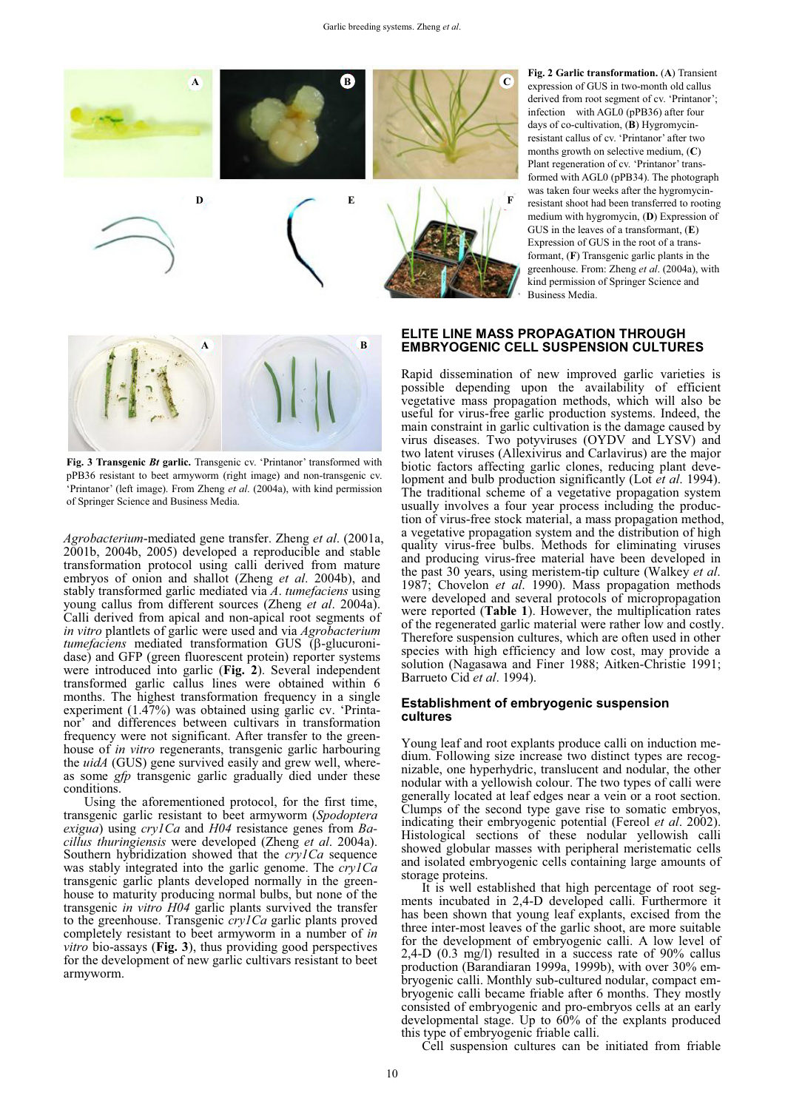

**Fig. 2 Garlic transformation.** (**A**) Transient expression of GUS in two-month old callus derived from root segment of cv. 'Printanor'; infection with AGL0 (pPB36) after four days of co-cultivation, (**B**) Hygromycinresistant callus of cv. 'Printanor' after two months growth on selective medium, (**C**) Plant regeneration of cv. 'Printanor' transformed with AGL0 (pPB34). The photograph was taken four weeks after the hygromycinresistant shoot had been transferred to rooting medium with hygromycin, (**D**) Expression of GUS in the leaves of a transformant, (**E**) Expression of GUS in the root of a transformant, (**F**) Transgenic garlic plants in the greenhouse. From: Zheng *et al*. (2004a), with kind permission of Springer Science and Business Media.



**Fig. 3 Transgenic** *Bt* **garlic.** Transgenic cv. 'Printanor' transformed with pPB36 resistant to beet armyworm (right image) and non-transgenic cv. 'Printanor' (left image). From Zheng *et al*. (2004a), with kind permission of Springer Science and Business Media.

*Agrobacterium*-mediated gene transfer. Zheng *et al*. (2001a, 2001b, 2004b, 2005) developed a reproducible and stable transformation protocol using calli derived from mature embryos of onion and shallot (Zheng *et al*. 2004b), and stably transformed garlic mediated via *A*. *tumefaciens* using young callus from different sources (Zheng *et al*. 2004a). Calli derived from apical and non-apical root segments of *in vitro* plantlets of garlic were used and via *Agrobacterium*   $t$ *tumefaciens* mediated transformation GUS ( $\beta$ -glucuronidase) and GFP (green fluorescent protein) reporter systems were introduced into garlic (**Fig. 2**). Several independent transformed garlic callus lines were obtained within 6 months. The highest transformation frequency in a single experiment (1.47%) was obtained using garlic cv. 'Printanor' and differences between cultivars in transformation frequency were not significant. After transfer to the greenhouse of *in vitro* regenerants, transgenic garlic harbouring the *uidA* (GUS) gene survived easily and grew well, whereas some *gfp* transgenic garlic gradually died under these conditions.

Using the aforementioned protocol, for the first time, transgenic garlic resistant to beet armyworm (*Spodoptera exigua*) using *cry1Ca* and *H04* resistance genes from *Bacillus thuringiensis* were developed (Zheng *et al*. 2004a). Southern hybridization showed that the *cry1Ca* sequence was stably integrated into the garlic genome. The *cry1Ca* transgenic garlic plants developed normally in the greenhouse to maturity producing normal bulbs, but none of the transgenic *in vitro H04* garlic plants survived the transfer to the greenhouse. Transgenic *cry1Ca* garlic plants proved completely resistant to beet armyworm in a number of *in vitro* bio-assays (**Fig. 3**), thus providing good perspectives for the development of new garlic cultivars resistant to beet armyworm.

#### **ELITE LINE MASS PROPAGATION THROUGH EMBRYOGENIC CELL SUSPENSION CULTURES**

Rapid dissemination of new improved garlic varieties is possible depending upon the availability of efficient vegetative mass propagation methods, which will also be useful for virus-free garlic production systems. Indeed, the main constraint in garlic cultivation is the damage caused by virus diseases. Two potyviruses (OYDV and LYSV) and two latent viruses (Allexivirus and Carlavirus) are the major biotic factors affecting garlic clones, reducing plant development and bulb production significantly (Lot *et al*. 1994). The traditional scheme of a vegetative propagation system usually involves a four year process including the production of virus-free stock material, a mass propagation method, a vegetative propagation system and the distribution of high quality virus-free bulbs. Methods for eliminating viruses and producing virus-free material have been developed in the past 30 years, using meristem-tip culture (Walkey *et al*. 1987; Chovelon *et al*. 1990). Mass propagation methods were developed and several protocols of micropropagation were reported (**Table 1**). However, the multiplication rates of the regenerated garlic material were rather low and costly. Therefore suspension cultures, which are often used in other species with high efficiency and low cost, may provide a solution (Nagasawa and Finer 1988; Aitken-Christie 1991; Barrueto Cid *et al*. 1994).

#### **Establishment of embryogenic suspension cultures**

Young leaf and root explants produce calli on induction medium. Following size increase two distinct types are recognizable, one hyperhydric, translucent and nodular, the other nodular with a yellowish colour. The two types of calli were generally located at leaf edges near a vein or a root section. Clumps of the second type gave rise to somatic embryos, indicating their embryogenic potential (Fereol *et al*. 2002). Histological sections of these nodular yellowish calli showed globular masses with peripheral meristematic cells and isolated embryogenic cells containing large amounts of storage proteins.

It is well established that high percentage of root segments incubated in 2,4-D developed calli. Furthermore it has been shown that young leaf explants, excised from the three inter-most leaves of the garlic shoot, are more suitable for the development of embryogenic calli. A low level of 2,4-D (0.3 mg/l) resulted in a success rate of 90% callus production (Barandiaran 1999a, 1999b), with over 30% embryogenic calli. Monthly sub-cultured nodular, compact embryogenic calli became friable after 6 months. They mostly consisted of embryogenic and pro-embryos cells at an early developmental stage. Up to 60% of the explants produced this type of embryogenic friable calli.

Cell suspension cultures can be initiated from friable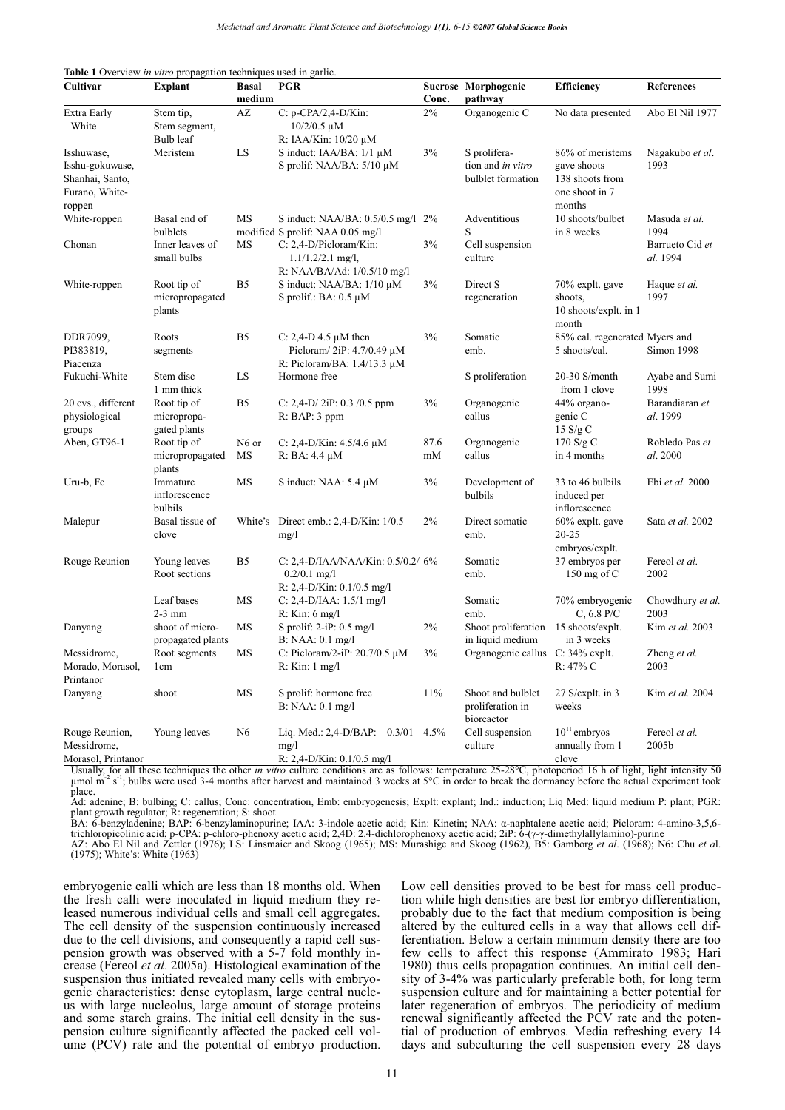| Cultivar           | <b>Explant</b>                       | <b>Basal</b><br>medium | <b>PGR</b>                                                                   | Conc. | Sucrose Morphogenic<br>pathway                      | <b>Efficiency</b>                                | <b>References</b>           |
|--------------------|--------------------------------------|------------------------|------------------------------------------------------------------------------|-------|-----------------------------------------------------|--------------------------------------------------|-----------------------------|
| Extra Early        | Stem tip,                            | AZ                     | C: p-CPA/2,4-D/Kin:                                                          | $2\%$ | Organogenic C                                       | No data presented                                | Abo El Nil 1977             |
| White              | Stem segment,<br>Bulb leaf           |                        | $10/2/0.5 \mu M$<br>R: IAA/Kin: 10/20 μM                                     |       |                                                     |                                                  |                             |
| Isshuwase,         | Meristem                             | LS                     | S induct: $IAA/BA$ : $1/1 \mu M$                                             | 3%    | S prolifera-                                        | 86% of meristems                                 | Nagakubo et al.             |
| Isshu-gokuwase,    |                                      |                        | S prolif: NAA/BA: $5/10 \mu M$                                               |       | tion and in vitro                                   | gave shoots                                      | 1993                        |
| Shanhai, Santo,    |                                      |                        |                                                                              |       | bulblet formation                                   | 138 shoots from                                  |                             |
| Furano, White-     |                                      |                        |                                                                              |       |                                                     | one shoot in 7                                   |                             |
| roppen             |                                      |                        |                                                                              |       |                                                     | months                                           |                             |
| White-roppen       | Basal end of                         | MS                     | S induct: NAA/BA: 0.5/0.5 mg/l 2%                                            |       | Adventitious                                        | 10 shoots/bulbet                                 | Masuda <i>et al</i> .       |
|                    | bulblets                             |                        | modified S prolif: NAA 0.05 mg/l                                             |       | S                                                   | in 8 weeks                                       | 1994                        |
| Chonan             | Inner leaves of<br>small bulbs       | MS                     | C: 2,4-D/Picloram/Kin:<br>$1.1/1.2/2.1$ mg/l,<br>R: NAA/BA/Ad: 1/0.5/10 mg/l | 3%    | Cell suspension<br>culture                          |                                                  | Barrueto Cid et<br>al. 1994 |
| White-roppen       | Root tip of                          | B5                     | S induct: $NAA/BA$ : $1/10 \mu M$                                            | 3%    | Direct S                                            | 70% explt. gave                                  | Haque et al.                |
|                    | micropropagated                      |                        | S prolif.: BA: $0.5 \mu M$                                                   |       | regeneration                                        | shoots,                                          | 1997                        |
|                    | plants                               |                        |                                                                              |       |                                                     | 10 shoots/explt. in 1<br>month                   |                             |
| DDR7099,           | Roots                                | B <sub>5</sub>         | C: 2,4-D 4.5 $\mu$ M then                                                    | 3%    | Somatic                                             | 85% cal. regenerated Myers and                   |                             |
| PI383819,          | segments                             |                        | Picloram/ $2iP: 4.7/0.49 \mu M$                                              |       | emb.                                                | 5 shoots/cal.                                    | Simon 1998                  |
| Piacenza           |                                      |                        | R: Picloram/BA: $1.4/13.3 \mu M$                                             |       |                                                     |                                                  |                             |
| Fukuchi-White      | Stem disc<br>1 mm thick              | LS                     | Hormone free                                                                 |       | S proliferation                                     | $20-30$ S/month<br>from 1 clove                  | Ayabe and Sumi<br>1998      |
| 20 cvs., different | Root tip of                          | B <sub>5</sub>         | C: 2,4-D/2iP: 0.3 /0.5 ppm                                                   | 3%    | Organogenic                                         | 44% organo-                                      | Barandiaran et              |
| physiological      | micropropa-                          |                        | R: BAP: 3 ppm                                                                |       | callus                                              | genic C                                          | al. 1999                    |
| groups             | gated plants                         |                        |                                                                              |       |                                                     | 15 S/g C                                         |                             |
| Aben, GT96-1       | Root tip of                          | N <sub>6</sub> or      | C: 2,4-D/Kin: $4.5/4.6 \mu M$                                                | 87.6  | Organogenic                                         | 170 S/g C                                        | Robledo Pas et              |
|                    | micropropagated<br>plants            | MS                     | $R: BA: 4.4 \mu M$                                                           | mM    | callus                                              | in 4 months                                      | al. 2000                    |
| Uru-b, Fc          | Immature<br>inflorescence<br>bulbils | MS                     | S induct: NAA: $5.4 \mu M$                                                   | 3%    | Development of<br>bulbils                           | 33 to 46 bulbils<br>induced per<br>inflorescence | Ebi et al. 2000             |
| Malepur            | Basal tissue of                      | White's                | Direct emb.: 2,4-D/Kin: 1/0.5                                                | $2\%$ | Direct somatic                                      | $60\%$ explt. gave                               | Sata et al. 2002            |
|                    | clove                                |                        | mg/1                                                                         |       | emb.                                                | 20-25                                            |                             |
|                    |                                      |                        |                                                                              |       |                                                     | embryos/explt.                                   |                             |
| Rouge Reunion      | Young leaves                         | B <sub>5</sub>         | C: 2,4-D/IAA/NAA/Kin: 0.5/0.2/ 6%                                            |       | Somatic                                             | 37 embryos per                                   | Fereol et al.               |
|                    | Root sections                        |                        | $0.2/0.1$ mg/l                                                               |       | emb.                                                | 150 mg of $C$                                    | 2002                        |
|                    |                                      |                        | $R: 2,4-D/K$ in: 0.1/0.5 mg/l                                                |       |                                                     |                                                  |                             |
|                    | Leaf bases                           | MS                     | C: 2,4-D/IAA: $1.5/1$ mg/l                                                   |       | Somatic                                             | 70% embryogenic                                  | Chowdhury et al.            |
|                    | $2-3$ mm                             |                        | $R:$ Kin: 6 mg/l                                                             |       | emb.                                                | $C, 6.8$ P/C                                     | 2003                        |
| Danyang            | shoot of micro-                      | MS                     | S prolif: $2-iP: 0.5$ mg/l                                                   | 2%    | Shoot proliferation                                 | 15 shoots/explt.                                 | Kim et al. 2003             |
|                    | propagated plants                    |                        | B: NAA: 0.1 mg/l                                                             |       | in liquid medium                                    | in 3 weeks                                       |                             |
| Messidrome,        | Root segments                        | MS                     | C: Picloram/2-iP: $20.7/0.5 \mu M$                                           | 3%    | Organogenic callus C: 34% explt.                    |                                                  | Zheng et al.                |
| Morado, Morasol,   | 1 <sub>cm</sub>                      |                        | $R:$ Kin: 1 mg/l                                                             |       |                                                     | R: 47% C                                         | 2003                        |
| Printanor          |                                      |                        |                                                                              |       |                                                     |                                                  |                             |
| Danyang            | shoot                                | MS                     | S prolif: hormone free<br>B: NAA: 0.1 mg/l                                   | 11%   | Shoot and bulblet<br>proliferation in<br>bioreactor | 27 S/explt. in 3<br>weeks                        | Kim et al. 2004             |
| Rouge Reunion,     | Young leaves                         | N <sub>6</sub>         | Liq. Med.: 2,4-D/BAP: $0.3/01$ 4.5%                                          |       | Cell suspension                                     | $10^{11}$ embryos                                | Fereol et al.               |
| Messidrome.        |                                      |                        | mg/1                                                                         |       | culture                                             | annually from 1                                  | 2005b                       |

**Table 1** Overview *in vitro* propagation techniques used in garlic.

Usually, for all these techniques the other *in vitro* culture conditions are as follows: temperature 25-28°C, photoperiod 16 h of light, light intensity 50 μmol m<sup>-2</sup> s<sup>-1</sup>; bulbs were used 3-4 months after harvest and maintained 3 weeks at 5°C in order to break the dormancy before the actual experiment took place.

R: 2,4-D/Kin: 0.1/0.5 mg/l

Ad: adenine; B: bulbing; C: callus; Conc: concentration, Emb: embryogenesis; Explt: explant; Ind.: induction; Liq Med: liquid medium P: plant; PGR: plant growth regulator; R: regeneration; S: shoot

BA: 6-benzyladenine; BAP: 6-benzylaminopurine; IAA: 3-indole acetic acid; Kin: Kinetin; NAA: α-naphtalene acetic acid; Picloram: 4-amino-3,5,6-<br>trichloropicolinic acid; p-CPA: p-chloro-phenoxy acetic acid; 2,4D: 2.4-dichl

AZ: Abo El Nil and Zettler (1976); LS: Linsmaier and Skoog (1965); MS: Murashige and Skoog (1962), B5: Gamborg *et al*. (1968); N6: Chu *et a*l. (1975); White's: White (1963)

embryogenic calli which are less than 18 months old. When the fresh calli were inoculated in liquid medium they released numerous individual cells and small cell aggregates. The cell density of the suspension continuously increased due to the cell divisions, and consequently a rapid cell suspension growth was observed with a 5-7 fold monthly increase (Fereol *et al*. 2005a). Histological examination of the suspension thus initiated revealed many cells with embryogenic characteristics: dense cytoplasm, large central nucleus with large nucleolus, large amount of storage proteins and some starch grains. The initial cell density in the suspension culture significantly affected the packed cell volume (PCV) rate and the potential of embryo production.

Morasol, Printanor

Low cell densities proved to be best for mass cell production while high densities are best for embryo differentiation, probably due to the fact that medium composition is being altered by the cultured cells in a way that allows cell differentiation. Below a certain minimum density there are too few cells to affect this response (Ammirato 1983; Hari 1980) thus cells propagation continues. An initial cell density of 3-4% was particularly preferable both, for long term suspension culture and for maintaining a better potential for later regeneration of embryos. The periodicity of medium renewal significantly affected the PCV rate and the potential of production of embryos. Media refreshing every 14 days and subculturing the cell suspension every 28 days

clove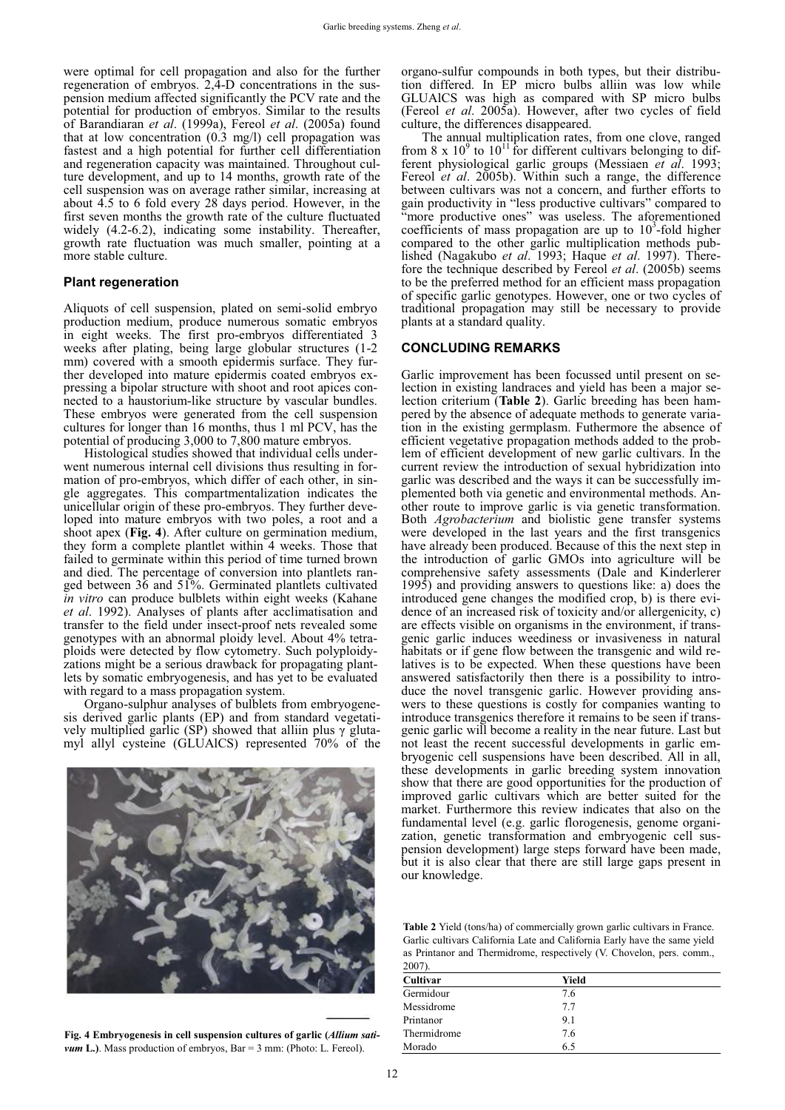were optimal for cell propagation and also for the further regeneration of embryos. 2,4-D concentrations in the suspension medium affected significantly the PCV rate and the potential for production of embryos. Similar to the results of Barandiaran *et al*. (1999a), Fereol *et al*. (2005a) found that at low concentration (0.3 mg/l) cell propagation was fastest and a high potential for further cell differentiation and regeneration capacity was maintained. Throughout culture development, and up to 14 months, growth rate of the cell suspension was on average rather similar, increasing at about 4.5 to 6 fold every 28 days period. However, in the first seven months the growth rate of the culture fluctuated widely (4.2-6.2), indicating some instability. Thereafter, growth rate fluctuation was much smaller, pointing at a more stable culture.

#### **Plant regeneration**

Aliquots of cell suspension, plated on semi-solid embryo production medium, produce numerous somatic embryos in eight weeks. The first pro-embryos differentiated 3 weeks after plating, being large globular structures (1-2 mm) covered with a smooth epidermis surface. They further developed into mature epidermis coated embryos expressing a bipolar structure with shoot and root apices connected to a haustorium-like structure by vascular bundles. These embryos were generated from the cell suspension cultures for longer than 16 months, thus 1 ml PCV, has the potential of producing 3,000 to 7,800 mature embryos.

Histological studies showed that individual cells underwent numerous internal cell divisions thus resulting in formation of pro-embryos, which differ of each other, in single aggregates. This compartmentalization indicates the unicellular origin of these pro-embryos. They further developed into mature embryos with two poles, a root and a shoot apex (**Fig. 4**). After culture on germination medium, they form a complete plantlet within 4 weeks. Those that failed to germinate within this period of time turned brown and died. The percentage of conversion into plantlets ranged between 36 and 51%. Germinated plantlets cultivated *in vitro* can produce bulblets within eight weeks (Kahane *et al*. 1992). Analyses of plants after acclimatisation and transfer to the field under insect-proof nets revealed some genotypes with an abnormal ploidy level. About 4% tetraploids were detected by flow cytometry. Such polyploidyzations might be a serious drawback for propagating plantlets by somatic embryogenesis, and has yet to be evaluated with regard to a mass propagation system.

Organo-sulphur analyses of bulblets from embryogenesis derived garlic plants (EP) and from standard vegetatively multiplied garlic (SP) showed that alliin plus  $\gamma$  glutamyl allyl cysteine (GLUAlCS) represented 70% of the



**Fig. 4 Embryogenesis in cell suspension cultures of garlic (***Allium sativum* L.). Mass production of embryos, Bar = 3 mm: (Photo: L. Fereol).

organo-sulfur compounds in both types, but their distribution differed. In EP micro bulbs alliin was low while GLUAlCS was high as compared with SP micro bulbs (Fereol *et al*. 2005a). However, after two cycles of field culture, the differences disappeared.

The annual multiplication rates, from one clove, ranged from 8 x  $10^9$  to  $10^{11}$  for different cultivars belonging to different physiological garlic groups (Messiaen *et al*. 1993; Fereol *et al*. 2005b). Within such a range, the difference between cultivars was not a concern, and further efforts to gain productivity in "less productive cultivars" compared to "more productive ones" was useless. The aforementioned coefficients of mass propagation are up to  $10<sup>3</sup>$ -fold higher compared to the other garlic multiplication methods published (Nagakubo *et al*. 1993; Haque *et al*. 1997). Therefore the technique described by Fereol *et al*. (2005b) seems to be the preferred method for an efficient mass propagation of specific garlic genotypes. However, one or two cycles of traditional propagation may still be necessary to provide plants at a standard quality.

#### **CONCLUDING REMARKS**

Garlic improvement has been focussed until present on selection in existing landraces and yield has been a major selection criterium (**Table 2**). Garlic breeding has been hampered by the absence of adequate methods to generate variation in the existing germplasm. Futhermore the absence of efficient vegetative propagation methods added to the problem of efficient development of new garlic cultivars. In the current review the introduction of sexual hybridization into garlic was described and the ways it can be successfully implemented both via genetic and environmental methods. Another route to improve garlic is via genetic transformation. Both *Agrobacterium* and biolistic gene transfer systems were developed in the last years and the first transgenics have already been produced. Because of this the next step in the introduction of garlic GMOs into agriculture will be comprehensive safety assessments (Dale and Kinderlerer 1995) and providing answers to questions like: a) does the introduced gene changes the modified crop, b) is there evidence of an increased risk of toxicity and/or allergenicity, c) are effects visible on organisms in the environment, if transgenic garlic induces weediness or invasiveness in natural habitats or if gene flow between the transgenic and wild relatives is to be expected. When these questions have been answered satisfactorily then there is a possibility to introduce the novel transgenic garlic. However providing answers to these questions is costly for companies wanting to introduce transgenics therefore it remains to be seen if transgenic garlic will become a reality in the near future. Last but not least the recent successful developments in garlic embryogenic cell suspensions have been described. All in all, these developments in garlic breeding system innovation show that there are good opportunities for the production of improved garlic cultivars which are better suited for the market. Furthermore this review indicates that also on the fundamental level (e.g. garlic florogenesis, genome organization, genetic transformation and embryogenic cell suspension development) large steps forward have been made, but it is also clear that there are still large gaps present in our knowledge.

**Table 2** Yield (tons/ha) of commercially grown garlic cultivars in France. Garlic cultivars California Late and California Early have the same yield as Printanor and Thermidrome, respectively (V. Chovelon, pers. comm., 2007).

| $200/$ ).   |       |  |  |  |  |  |
|-------------|-------|--|--|--|--|--|
| Cultivar    | Yield |  |  |  |  |  |
| Germidour   | 7.6   |  |  |  |  |  |
| Messidrome  | 7.7   |  |  |  |  |  |
| Printanor   | 9.1   |  |  |  |  |  |
| Thermidrome | 7.6   |  |  |  |  |  |
| Morado      | 6.5   |  |  |  |  |  |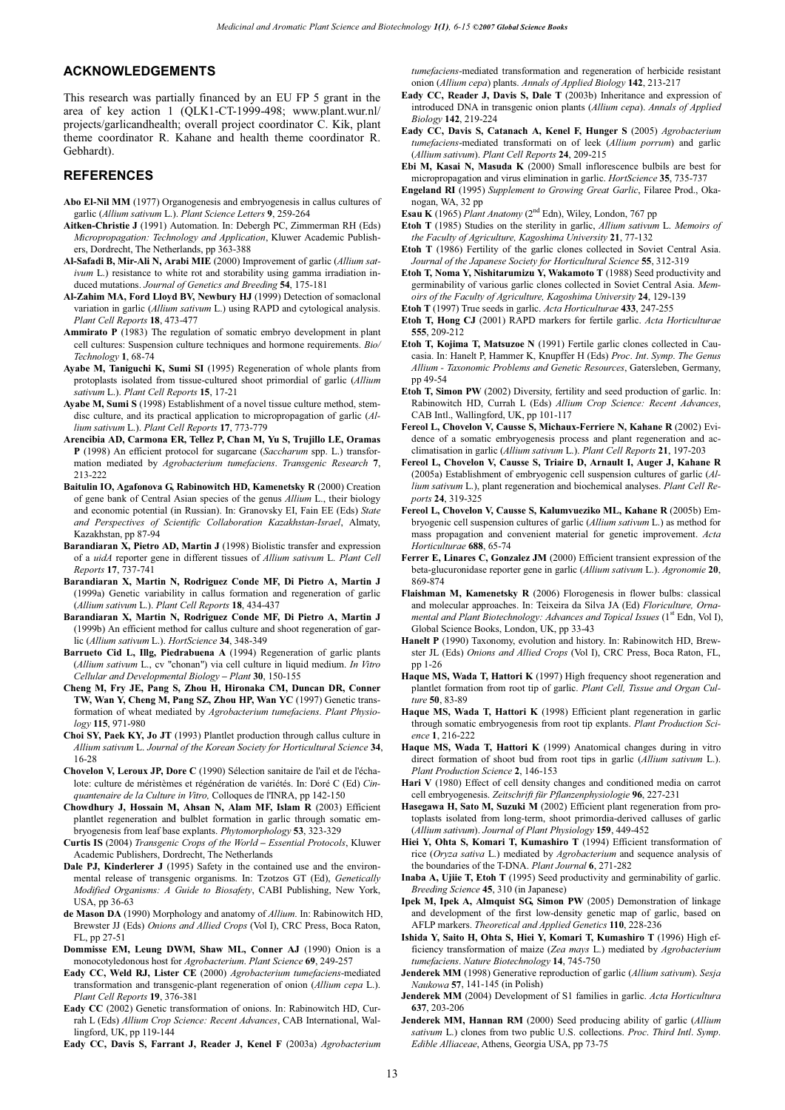#### **ACKNOWLEDGEMENTS**

This research was partially financed by an EU FP 5 grant in the area of key action 1 (QLK1-CT-1999-498; www.plant.wur.nl/ projects/garlicandhealth; overall project coordinator C. Kik, plant theme coordinator R. Kahane and health theme coordinator R. Gebhardt).

#### **REFERENCES**

- **Abo El-Nil MM** (1977) Organogenesis and embryogenesis in callus cultures of garlic (*Allium sativum* L.). *Plant Science Letters* **9**, 259-264
- **Aitken-Christie J** (1991) Automation. In: Debergh PC, Zimmerman RH (Eds) *Micropropagation: Technology and Application*, Kluwer Academic Publishers, Dordrecht, The Netherlands, pp 363-388
- **Al-Safadi B, Mir-Ali N, Arabi MIE** (2000) Improvement of garlic (*Allium sativum* L.) resistance to white rot and storability using gamma irradiation induced mutations. *Journal of Genetics and Breeding* **54**, 175-181
- **Al-Zahim MA, Ford Lloyd BV, Newbury HJ** (1999) Detection of somaclonal variation in garlic (*Allium sativum* L.) using RAPD and cytological analysis. *Plant Cell Reports* **18**, 473-477
- **Ammirato P** (1983) The regulation of somatic embryo development in plant cell cultures: Suspension culture techniques and hormone requirements. *Bio/ Technology* **1**, 68-74
- **Ayabe M, Taniguchi K, Sumi SI** (1995) Regeneration of whole plants from protoplasts isolated from tissue-cultured shoot primordial of garlic (*Allium sativum* L.). *Plant Cell Reports* **15**, 17-21
- **Ayabe M, Sumi S** (1998) Establishment of a novel tissue culture method, stemdisc culture, and its practical application to micropropagation of garlic (*Allium sativum* L.). *Plant Cell Reports* **17**, 773-779
- **Arencibia AD, Carmona ER, Tellez P, Chan M, Yu S, Trujillo LE, Oramas P** (1998) An efficient protocol for sugarcane (*Saccharum* spp. L.) transformation mediated by *Agrobacterium tumefaciens*. *Transgenic Research* **7**, 213-222
- **Baitulin IO, Agafonova G, Rabinowitch HD, Kamenetsky R** (2000) Creation of gene bank of Central Asian species of the genus *Allium* L., their biology and economic potential (in Russian). In: Granovsky EI, Fain EE (Eds) *State and Perspectives of Scientific Collaboration Kazakhstan-Israel*, Almaty, Kazakhstan, pp 87-94
- **Barandiaran X, Pietro AD, Martin J** (1998) Biolistic transfer and expression of a *uidA* reporter gene in different tissues of *Allium sativum* L. *Plant Cell Reports* **17**, 737-741
- **Barandiaran X, Martin N, Rodriguez Conde MF, Di Pietro A, Martin J** (1999a) Genetic variability in callus formation and regeneration of garlic (*Allium sativum* L.). *Plant Cell Reports* **18**, 434-437
- **Barandiaran X, Martin N, Rodriguez Conde MF, Di Pietro A, Martin J** (1999b) An efficient method for callus culture and shoot regeneration of garlic (*Allium sativum* L.). *HortScience* **34**, 348-349
- **Barrueto Cid L, Illg, Piedrabuena A** (1994) Regeneration of garlic plants (*Allium sativum* L., cv "chonan") via cell culture in liquid medium. *In Vitro Cellular and Developmental Biology – Plant* **30**, 150-155
- **Cheng M, Fry JE, Pang S, Zhou H, Hironaka CM, Duncan DR, Conner TW, Wan Y, Cheng M, Pang SZ, Zhou HP, Wan YC** (1997) Genetic transformation of wheat mediated by *Agrobacterium tumefaciens*. *Plant Physiology* **115**, 971-980
- **Choi SY, Paek KY, Jo JT** (1993) Plantlet production through callus culture in *Allium sativum* L. *Journal of the Korean Society for Horticultural Science* **34**, 16-28
- **Chovelon V, Leroux JP, Dore C** (1990) Sélection sanitaire de l'ail et de l'échalote: culture de méristèmes et régénération de variétés. In: Doré C (Ed) *Cinquantenaire de la Culture in Vitro,* Colloques de l'INRA, pp 142-150
- **Chowdhury J, Hossain M, Ahsan N, Alam MF, Islam R** (2003) Efficient plantlet regeneration and bulblet formation in garlic through somatic embryogenesis from leaf base explants. *Phytomorphology* **53**, 323-329
- **Curtis IS** (2004) *Transgenic Crops of the World – Essential Protocols*, Kluwer Academic Publishers, Dordrecht, The Netherlands
- **Dale PJ, Kinderlerer J** (1995) Safety in the contained use and the environmental release of transgenic organisms. In: Tzotzos GT (Ed), *Genetically Modified Organisms: A Guide to Biosafety*, CABI Publishing, New York, USA, pp 36-63
- **de Mason DA** (1990) Morphology and anatomy of *Allium*. In: Rabinowitch HD, Brewster JJ (Eds) *Onions and Allied Crops* (Vol I), CRC Press, Boca Raton, FL, pp 27-51
- **Dommisse EM, Leung DWM, Shaw ML, Conner AJ** (1990) Onion is a monocotyledonous host for *Agrobacterium*. *Plant Science* **69**, 249-257
- **Eady CC, Weld RJ, Lister CE** (2000) *Agrobacterium tumefaciens*-mediated transformation and transgenic-plant regeneration of onion (*Allium cepa* L.). *Plant Cell Reports* **19**, 376-381
- **Eady CC** (2002) Genetic transformation of onions. In: Rabinowitch HD, Currah L (Eds) *Allium Crop Science: Recent Advances*, CAB International, Wallingford, UK, pp 119-144
- **Eady CC, Davis S, Farrant J, Reader J, Kenel F** (2003a) *Agrobacterium*

*tumefaciens*-mediated transformation and regeneration of herbicide resistant onion (*Allium cepa*) plants. *Annals of Applied Biology* **142**, 213-217

- **Eady CC, Reader J, Davis S, Dale T** (2003b) Inheritance and expression of introduced DNA in transgenic onion plants (*Allium cepa*). *Annals of Applied Biology* **142**, 219-224
- **Eady CC, Davis S, Catanach A, Kenel F, Hunger S** (2005) *Agrobacterium tumefaciens*-mediated transformati on of leek (*Allium porrum*) and garlic (*Allium sativum*). *Plant Cell Reports* **24**, 209-215
- **Ebi M, Kasai N, Masuda K** (2000) Small inflorescence bulbils are best for micropropagation and virus elimination in garlic. *HortScience* **35**, 735-737
- **Engeland RI** (1995) *Supplement to Growing Great Garlic*, Filaree Prod., Okanogan, WA, 32 pp
- **Esau K** (1965) *Plant Anatomy* (2nd Edn), Wiley, London, 767 pp
- **Etoh T** (1985) Studies on the sterility in garlic, *Allium sativum* L. *Memoirs of the Faculty of Agriculture, Kagoshima University* **21**, 77-132
- **Etoh T** (1986) Fertility of the garlic clones collected in Soviet Central Asia. *Journal of the Japanese Society for Horticultural Science* **55**, 312-319
- **Etoh T, Noma Y, Nishitarumizu Y, Wakamoto T** (1988) Seed productivity and germinability of various garlic clones collected in Soviet Central Asia. *Memoirs of the Faculty of Agriculture, Kagoshima University* **24**, 129-139
- **Etoh T** (1997) True seeds in garlic. *Acta Horticulturae* **433**, 247-255
- **Etoh T, Hong CJ** (2001) RAPD markers for fertile garlic. *Acta Horticulturae* **555**, 209-212
- **Etoh T, Kojima T, Matsuzoe N** (1991) Fertile garlic clones collected in Caucasia. In: Hanelt P, Hammer K, Knupffer H (Eds) *Proc*. *Int*. *Symp*. *The Genus Allium - Taxonomic Problems and Genetic Resources*, Gatersleben, Germany, pp 49-54
- **Etoh T, Simon PW** (2002) Diversity, fertility and seed production of garlic. In: Rabinowitch HD, Currah L (Eds) *Allium Crop Science: Recent Advances*, CAB Intl., Wallingford, UK, pp 101-117
- **Fereol L, Chovelon V, Causse S, Michaux-Ferriere N, Kahane R** (2002) Evidence of a somatic embryogenesis process and plant regeneration and acclimatisation in garlic (*Allium sativum* L.). *Plant Cell Reports* **21**, 197-203
- **Fereol L, Chovelon V, Causse S, Triaire D, Arnault I, Auger J, Kahane R** (2005a) Establishment of embryogenic cell suspension cultures of garlic (*Allium sativum* L.), plant regeneration and biochemical analyses. *Plant Cell Reports* **24**, 319-325
- **Fereol L, Chovelon V, Causse S, Kalumvueziko ML, Kahane R** (2005b) Embryogenic cell suspension cultures of garlic (*Allium sativum* L.) as method for mass propagation and convenient material for genetic improvement. *Acta Horticulturae* **688**, 65-74
- Ferrer E, Linares C, Gonzalez JM (2000) Efficient transient expression of the beta-glucuronidase reporter gene in garlic (*Allium sativum* L.). *Agronomie* **20**, 869-874
- **Flaishman M, Kamenetsky R** (2006) Florogenesis in flower bulbs: classical and molecular approaches. In: Teixeira da Silva JA (Ed) *Floriculture, Ornamental and Plant Biotechnology: Advances and Topical Issues* (1<sup>st</sup> Edn, Vol I), Global Science Books, London, UK, pp 33-43
- **Hanelt P** (1990) Taxonomy, evolution and history. In: Rabinowitch HD, Brewster JL (Eds) *Onions and Allied Crops* (Vol I), CRC Press, Boca Raton, FL, pp 1-26
- **Haque MS, Wada T, Hattori K** (1997) High frequency shoot regeneration and plantlet formation from root tip of garlic. *Plant Cell, Tissue and Organ Culture* **50**, 83-89
- **Haque MS, Wada T, Hattori K** (1998) Efficient plant regeneration in garlic through somatic embryogenesis from root tip explants. *Plant Production Science* **1**, 216-222
- **Haque MS, Wada T, Hattori K** (1999) Anatomical changes during in vitro direct formation of shoot bud from root tips in garlic (*Allium sativum* L.). *Plant Production Science* **2**, 146-153
- **Hari V** (1980) Effect of cell density changes and conditioned media on carrot cell embryogenesis. *Zeitschrift für Pflanzenphysiologie* **96**, 227-231
- **Hasegawa H, Sato M, Suzuki M** (2002) Efficient plant regeneration from protoplasts isolated from long-term, shoot primordia-derived calluses of garlic (*Allium sativum*). *Journal of Plant Physiology* **159**, 449-452
- **Hiei Y, Ohta S, Komari T, Kumashiro T** (1994) Efficient transformation of rice (*Oryza sativa* L.) mediated by *Agrobacterium* and sequence analysis of the boundaries of the T-DNA. *Plant Journal* **6**, 271-282
- **Inaba A, Ujiie T, Etoh T** (1995) Seed productivity and germinability of garlic. *Breeding Science* **45**, 310 (in Japanese)
- **Ipek M, Ipek A, Almquist SG, Simon PW** (2005) Demonstration of linkage and development of the first low-density genetic map of garlic, based on AFLP markers. *Theoretical and Applied Genetics* **110**, 228-236
- **Ishida Y, Saito H, Ohta S, Hiei Y, Komari T, Kumashiro T** (1996) High efficiency transformation of maize (*Zea mays* L.) mediated by *Agrobacterium tumefaciens*. *Nature Biotechnology* **14**, 745-750
- **Jenderek MM** (1998) Generative reproduction of garlic (*Allium sativum*). *Sesja Naukowa* **57**, 141-145 (in Polish)
- **Jenderek MM** (2004) Development of S1 families in garlic. *Acta Horticultura*  **637**, 203-206
- **Jenderek MM, Hannan RM** (2000) Seed producing ability of garlic (*Allium sativum* L.) clones from two public U.S. collections. *Proc*. *Third Intl*. *Symp*. *Edible Alliaceae*, Athens, Georgia USA, pp 73-75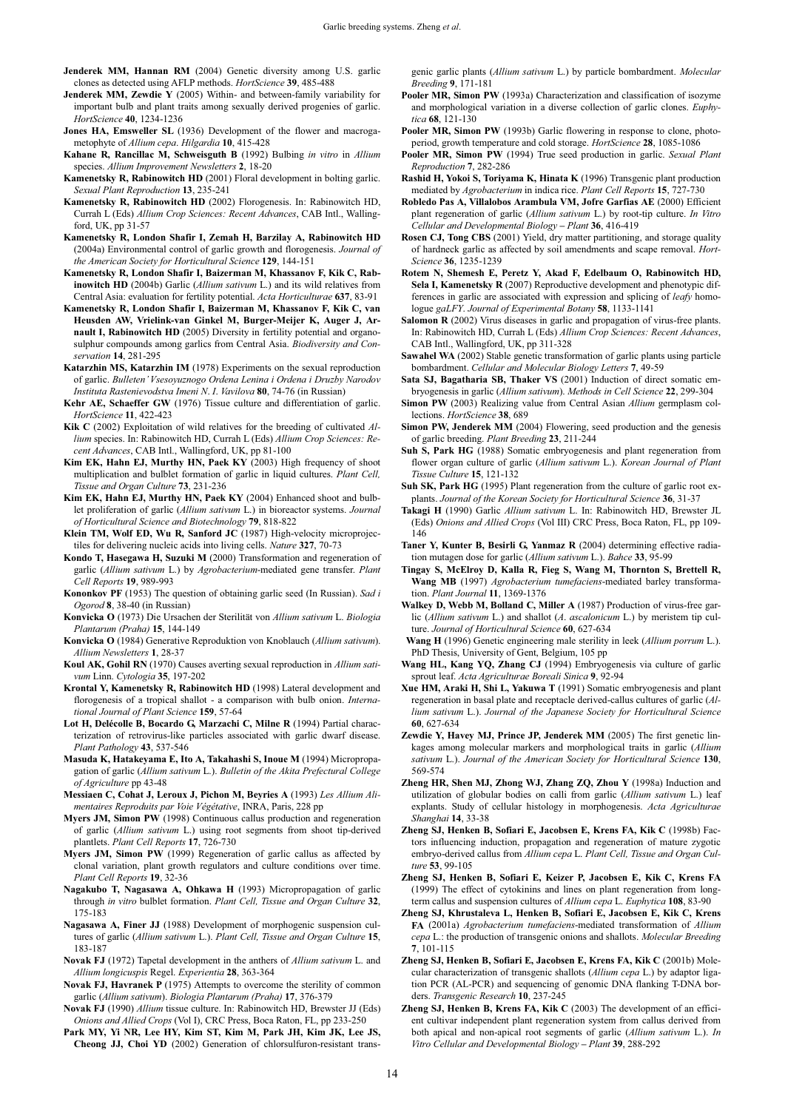- **Jenderek MM, Hannan RM** (2004) Genetic diversity among U.S. garlic clones as detected using AFLP methods. *HortScience* **39**, 485-488
- **Jenderek MM, Zewdie Y** (2005) Within- and between-family variability for important bulb and plant traits among sexually derived progenies of garlic. *HortScience* **40**, 1234-1236
- **Jones HA, Emsweller SL** (1936) Development of the flower and macrogametophyte of *Allium cepa*. *Hilgardia* **10**, 415-428
- **Kahane R, Rancillac M, Schweisguth B** (1992) Bulbing *in vitro* in *Allium* species. *Allium Improvement Newsletters* **2**, 18-20
- **Kamenetsky R, Rabinowitch HD** (2001) Floral development in bolting garlic. *Sexual Plant Reproduction* **13**, 235-241
- **Kamenetsky R, Rabinowitch HD** (2002) Florogenesis. In: Rabinowitch HD, Currah L (Eds) *Allium Crop Sciences: Recent Advances*, CAB Intl., Wallingford, UK, pp 31-57
- **Kamenetsky R, London Shafir I, Zemah H, Barzilay A, Rabinowitch HD** (2004a) Environmental control of garlic growth and florogenesis. *Journal of the American Society for Horticultural Science* **129**, 144-151
- **Kamenetsky R, London Shafir I, Baizerman M, Khassanov F, Kik C, Rabinowitch HD** (2004b) Garlic (*Allium sativum* L.) and its wild relatives from Central Asia: evaluation for fertility potential. *Acta Horticulturae* **637**, 83-91
- **Kamenetsky R, London Shafir I, Baizerman M, Khassanov F, Kik C, van Heusden AW, Vrielink-van Ginkel M, Burger-Meijer K, Auger J, Arnault I, Rabinowitch HD** (2005) Diversity in fertility potential and organosulphur compounds among garlics from Central Asia. *Biodiversity and Conservation* **14**, 281-295
- **Katarzhin MS, Katarzhin IM** (1978) Experiments on the sexual reproduction of garlic. *Bulleten' Vsesoyuznogo Ordena Lenina i Ordena i Druzby Narodov Instituta Rastenievodstva Imeni N*. *I*. *Vavilova* **80**, 74-76 (in Russian)
- **Kehr AE, Schaeffer GW** (1976) Tissue culture and differentiation of garlic. *HortScience* **11**, 422-423
- **Kik C** (2002) Exploitation of wild relatives for the breeding of cultivated *Allium* species. In: Rabinowitch HD, Currah L (Eds) *Allium Crop Sciences: Recent Advances*, CAB Intl., Wallingford, UK, pp 81-100
- **Kim EK, Hahn EJ, Murthy HN, Paek KY** (2003) High frequency of shoot multiplication and bulblet formation of garlic in liquid cultures. *Plant Cell, Tissue and Organ Culture* **73**, 231-236
- **Kim EK, Hahn EJ, Murthy HN, Paek KY** (2004) Enhanced shoot and bulblet proliferation of garlic (*Allium sativum* L.) in bioreactor systems. *Journal of Horticultural Science and Biotechnology* **79**, 818-822
- **Klein TM, Wolf ED, Wu R, Sanford JC** (1987) High-velocity microprojectiles for delivering nucleic acids into living cells. *Nature* **327**, 70-73
- **Kondo T, Hasegawa H, Suzuki M** (2000) Transformation and regeneration of garlic (*Allium sativum* L.) by *Agrobacterium*-mediated gene transfer. *Plant Cell Reports* **19**, 989-993
- **Kononkov PF** (1953) The question of obtaining garlic seed (In Russian). *Sad i Ogorod* **8**, 38-40 (in Russian)
- **Konvicka O** (1973) Die Ursachen der Sterilität von *Allium sativum* L. *Biologia Plantarum (Praha)* **15**, 144-149
- **Konvicka O** (1984) Generative Reproduktion von Knoblauch (*Allium sativum*). *Allium Newsletters* **1**, 28-37
- **Koul AK, Gohil RN** (1970) Causes averting sexual reproduction in *Allium sativum* Linn. *Cytologia* **35**, 197-202
- **Krontal Y, Kamenetsky R, Rabinowitch HD** (1998) Lateral development and florogenesis of a tropical shallot - a comparison with bulb onion. *International Journal of Plant Science* **159**, 57-64
- **Lot H, Delécolle B, Bocardo G, Marzachi C, Milne R** (1994) Partial characterization of retrovirus-like particles associated with garlic dwarf disease. *Plant Pathology* **43**, 537-546
- **Masuda K, Hatakeyama E, Ito A, Takahashi S, Inoue M** (1994) Micropropagation of garlic (*Allium sativum* L.). *Bulletin of the Akita Prefectural College of Agriculture* pp 43-48
- **Messiaen C, Cohat J, Leroux J, Pichon M, Beyries A** (1993) *Les Allium Alimentaires Reproduits par Voie Végétative*, INRA, Paris, 228 pp
- **Myers JM, Simon PW** (1998) Continuous callus production and regeneration of garlic (*Allium sativum* L.) using root segments from shoot tip-derived plantlets. *Plant Cell Reports* **17**, 726-730
- **Myers JM, Simon PW** (1999) Regeneration of garlic callus as affected by clonal variation, plant growth regulators and culture conditions over time. *Plant Cell Reports* **19**, 32-36
- **Nagakubo T, Nagasawa A, Ohkawa H** (1993) Micropropagation of garlic through *in vitro* bulblet formation. *Plant Cell, Tissue and Organ Culture* **32**, 175-183
- **Nagasawa A, Finer JJ** (1988) Development of morphogenic suspension cultures of garlic (*Allium sativum* L.). *Plant Cell, Tissue and Organ Culture* **15**, 183-187
- **Novak FJ** (1972) Tapetal development in the anthers of *Allium sativum* L. and *Allium longicuspis* Regel. *Experientia* **28**, 363-364
- **Novak FJ, Havranek P** (1975) Attempts to overcome the sterility of common garlic (*Allium sativum*). *Biologia Plantarum (Praha)* **17**, 376-379
- **Novak FJ** (1990) *Allium* tissue culture. In: Rabinowitch HD, Brewster JJ (Eds) *Onions and Allied Crops* (Vol I), CRC Press, Boca Raton, FL, pp 233-250
- Park MY, Yi NR, Lee HY, Kim ST, Kim M, Park JH, Kim JK, Lee JS, **Cheong JJ, Choi YD** (2002) Generation of chlorsulfuron-resistant trans-

genic garlic plants (*Allium sativum* L.) by particle bombardment. *Molecular Breeding* **9**, 171-181

- Pooler MR, Simon PW (1993a) Characterization and classification of isozyme and morphological variation in a diverse collection of garlic clones. *Euphytica* **68**, 121-130
- Pooler MR, Simon PW (1993b) Garlic flowering in response to clone, photoperiod, growth temperature and cold storage. *HortScience* **28**, 1085-1086
- **Pooler MR, Simon PW** (1994) True seed production in garlic. *Sexual Plant Reproduction* **7**, 282-286
- **Rashid H, Yokoi S, Toriyama K, Hinata K** (1996) Transgenic plant production mediated by *Agrobacterium* in indica rice. *Plant Cell Reports* **15**, 727-730
- **Robledo Pas A, Villalobos Arambula VM, Jofre Garfias AE** (2000) Efficient plant regeneration of garlic (*Allium sativum* L.) by root-tip culture. *In Vitro Cellular and Developmental Biology – Plant* **36**, 416-419
- **Rosen CJ, Tong CBS** (2001) Yield, dry matter partitioning, and storage quality of hardneck garlic as affected by soil amendments and scape removal. *Hort-Science* **36**, 1235-1239
- **Rotem N, Shemesh E, Peretz Y, Akad F, Edelbaum O, Rabinowitch HD, Sela I, Kamenetsky R** (2007) Reproductive development and phenotypic differences in garlic are associated with expression and splicing of *leafy* homologue *gaLFY*. *Journal of Experimental Botany* **58**, 1133-1141
- **Salomon R** (2002) Virus diseases in garlic and propagation of virus-free plants. In: Rabinowitch HD, Currah L (Eds) *Allium Crop Sciences: Recent Advances*, CAB Intl., Wallingford, UK, pp 311-328
- **Sawahel WA** (2002) Stable genetic transformation of garlic plants using particle bombardment. *Cellular and Molecular Biology Letters* **7**, 49-59
- **Sata SJ, Bagatharia SB, Thaker VS** (2001) Induction of direct somatic embryogenesis in garlic (*Allium sativum*). *Methods in Cell Science* **22**, 299-304
- **Simon PW** (2003) Realizing value from Central Asian *Allium* germplasm collections. *HortScience* **38**, 689
- **Simon PW, Jenderek MM** (2004) Flowering, seed production and the genesis of garlic breeding. *Plant Breeding* **23**, 211-244
- **Suh S, Park HG** (1988) Somatic embryogenesis and plant regeneration from flower organ culture of garlic (*Allium sativum* L.). *Korean Journal of Plant Tissue Culture* **15**, 121-132
- Suh SK, Park HG (1995) Plant regeneration from the culture of garlic root explants. *Journal of the Korean Society for Horticultural Science* **36**, 31-37
- **Takagi H** (1990) Garlic *Allium sativum* L. In: Rabinowitch HD, Brewster JL (Eds) *Onions and Allied Crops* (Vol III) CRC Press, Boca Raton, FL, pp 109- 146
- **Taner Y, Kunter B, Besirli G, Yanmaz R** (2004) determining effective radiation mutagen dose for garlic (*Allium sativum* L.). *Bahce* **33**, 95-99
- **Tingay S, McElroy D, Kalla R, Fieg S, Wang M, Thornton S, Brettell R, Wang MB** (1997) *Agrobacterium tumefaciens*-mediated barley transformation. *Plant Journal* **11**, 1369-1376
- **Walkey D, Webb M, Bolland C, Miller A** (1987) Production of virus-free garlic (*Allium sativum* L.) and shallot (*A*. *ascalonicum* L.) by meristem tip culture. *Journal of Horticultural Science* **60**, 627-634
- **Wang H** (1996) Genetic engineering male sterility in leek (*Allium porrum* L.). PhD Thesis, University of Gent, Belgium, 105 pp
- **Wang HL, Kang YQ, Zhang CJ** (1994) Embryogenesis via culture of garlic sprout leaf. *Acta Agriculturae Boreali Sinica* **9**, 92-94
- **Xue HM, Araki H, Shi L, Yakuwa T** (1991) Somatic embryogenesis and plant regeneration in basal plate and receptacle derived-callus cultures of garlic (*Allium sativum* L.). *Journal of the Japanese Society for Horticultural Science*  **60**, 627-634
- **Zewdie Y, Havey MJ, Prince JP, Jenderek MM** (2005) The first genetic linkages among molecular markers and morphological traits in garlic (*Allium sativum* L.). *Journal of the American Society for Horticultural Science* **130**, 569-574
- **Zheng HR, Shen MJ, Zhong WJ, Zhang ZQ, Zhou Y** (1998a) Induction and utilization of globular bodies on calli from garlic (*Allium sativum* L.) leaf explants. Study of cellular histology in morphogenesis. *Acta Agriculturae Shanghai* **14**, 33-38
- **Zheng SJ, Henken B, Sofiari E, Jacobsen E, Krens FA, Kik C** (1998b) Factors influencing induction, propagation and regeneration of mature zygotic embryo-derived callus from *Allium cepa* L. *Plant Cell, Tissue and Organ Culture* **53**, 99-105
- **Zheng SJ, Henken B, Sofiari E, Keizer P, Jacobsen E, Kik C, Krens FA** (1999) The effect of cytokinins and lines on plant regeneration from longterm callus and suspension cultures of *Allium cepa* L. *Euphytica* **108**, 83-90
- **Zheng SJ, Khrustaleva L, Henken B, Sofiari E, Jacobsen E, Kik C, Krens FA** (2001a) *Agrobacterium tumefaciens*-mediated transformation of *Allium cepa* L.: the production of transgenic onions and shallots. *Molecular Breeding* **7**, 101-115
- **Zheng SJ, Henken B, Sofiari E, Jacobsen E, Krens FA, Kik C** (2001b) Molecular characterization of transgenic shallots (*Allium cepa* L.) by adaptor ligation PCR (AL-PCR) and sequencing of genomic DNA flanking T-DNA borders. *Transgenic Research* **10**, 237-245
- **Zheng SJ, Henken B, Krens FA, Kik C** (2003) The development of an efficient cultivar independent plant regeneration system from callus derived from both apical and non-apical root segments of garlic (*Allium sativum* L.). *In Vitro Cellular and Developmental Biology – Plant* **39**, 288-292